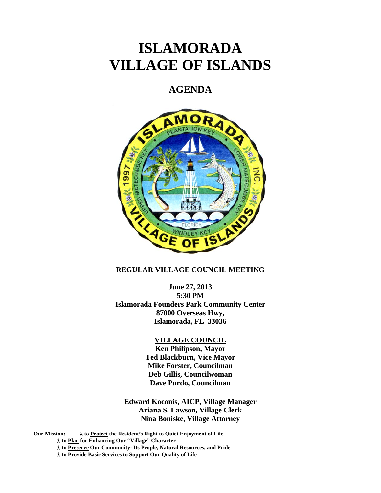# **ISLAMORADA VILLAGE OF ISLANDS**

# **AGENDA**



#### **REGULAR VILLAGE COUNCIL MEETING**

**June 27, 2013 5:30 PM Islamorada Founders Park Community Center 87000 Overseas Hwy, Islamorada, FL 33036** 

#### **VILLAGE COUNCIL**

**Ken Philipson, Mayor Ted Blackburn, Vice Mayor Mike Forster, Councilman Deb Gillis, Councilwoman Dave Purdo, Councilman** 

**Edward Koconis, AICP, Village Manager Ariana S. Lawson, Village Clerk Nina Boniske, Village Attorney** 

**Our Mission: to Protect the Resident's Right to Quiet Enjoyment of Life to Plan for Enhancing Our "Village" Character to Preserve Our Community: Its People, Natural Resources, and Pride to Provide Basic Services to Support Our Quality of Life**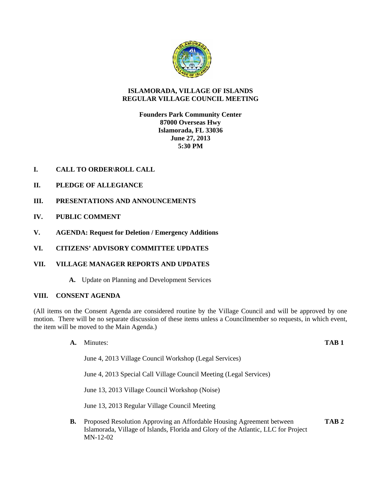

## **ISLAMORADA, VILLAGE OF ISLANDS REGULAR VILLAGE COUNCIL MEETING**

# **Founders Park Community Center 87000 Overseas Hwy Islamorada, FL 33036 June 27, 2013 5:30 PM**

# **I. CALL TO ORDER\ROLL CALL**

- **II. PLEDGE OF ALLEGIANCE**
- **III. PRESENTATIONS AND ANNOUNCEMENTS**
- **IV. PUBLIC COMMENT**
- **V. AGENDA: Request for Deletion / Emergency Additions**
- **VI. CITIZENS' ADVISORY COMMITTEE UPDATES**

# **VII. VILLAGE MANAGER REPORTS AND UPDATES**

**A.** Update on Planning and Development Services

#### **VIII. CONSENT AGENDA**

(All items on the Consent Agenda are considered routine by the Village Council and will be approved by one motion. There will be no separate discussion of these items unless a Councilmember so requests, in which event, the item will be moved to the Main Agenda.)

> **A.** Minutes: **TAB 1** June 4, 2013 Village Council Workshop (Legal Services)

June 4, 2013 Special Call Village Council Meeting (Legal Services)

June 13, 2013 Village Council Workshop (Noise)

June 13, 2013 Regular Village Council Meeting

**B.** Proposed Resolution Approving an Affordable Housing Agreement between **TAB 2**  Islamorada, Village of Islands, Florida and Glory of the Atlantic, LLC for Project MN-12-02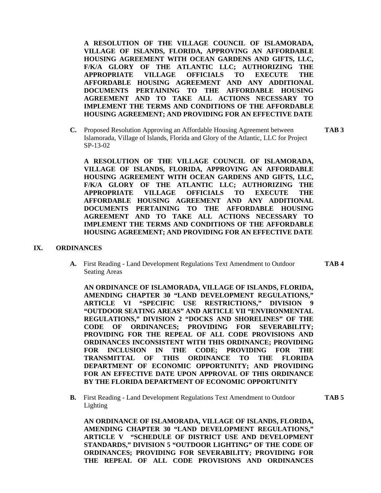**A RESOLUTION OF THE VILLAGE COUNCIL OF ISLAMORADA, VILLAGE OF ISLANDS, FLORIDA, APPROVING AN AFFORDABLE HOUSING AGREEMENT WITH OCEAN GARDENS AND GIFTS, LLC, F/K/A GLORY OF THE ATLANTIC LLC; AUTHORIZING THE APPROPRIATE VILLAGE OFFICIALS TO EXECUTE THE AFFORDABLE HOUSING AGREEMENT AND ANY ADDITIONAL DOCUMENTS PERTAINING TO THE AFFORDABLE HOUSING AGREEMENT AND TO TAKE ALL ACTIONS NECESSARY TO IMPLEMENT THE TERMS AND CONDITIONS OF THE AFFORDABLE HOUSING AGREEMENT; AND PROVIDING FOR AN EFFECTIVE DATE** 

**C.** Proposed Resolution Approving an Affordable Housing Agreement between **TAB 3**  Islamorada, Village of Islands, Florida and Glory of the Atlantic, LLC for Project SP-13-02

**A RESOLUTION OF THE VILLAGE COUNCIL OF ISLAMORADA, VILLAGE OF ISLANDS, FLORIDA, APPROVING AN AFFORDABLE HOUSING AGREEMENT WITH OCEAN GARDENS AND GIFTS, LLC, F/K/A GLORY OF THE ATLANTIC LLC; AUTHORIZING THE APPROPRIATE VILLAGE OFFICIALS TO EXECUTE THE AFFORDABLE HOUSING AGREEMENT AND ANY ADDITIONAL DOCUMENTS PERTAINING TO THE AFFORDABLE HOUSING AGREEMENT AND TO TAKE ALL ACTIONS NECESSARY TO IMPLEMENT THE TERMS AND CONDITIONS OF THE AFFORDABLE HOUSING AGREEMENT; AND PROVIDING FOR AN EFFECTIVE DATE** 

#### **IX. ORDINANCES**

**A.** First Reading - Land Development Regulations Text Amendment to Outdoor **TAB 4** Seating Areas

**AN ORDINANCE OF ISLAMORADA, VILLAGE OF ISLANDS, FLORIDA, AMENDING CHAPTER 30 "LAND DEVELOPMENT REGULATIONS," ARTICLE VI "SPECIFIC USE RESTRICTIONS," DIVISION 9 "OUTDOOR SEATING AREAS" AND ARTICLE VII "ENVIRONMENTAL REGULATIONS," DIVISION 2 "DOCKS AND SHORELINES" OF THE CODE OF ORDINANCES; PROVIDING FOR SEVERABILITY; PROVIDING FOR THE REPEAL OF ALL CODE PROVISIONS AND ORDINANCES INCONSISTENT WITH THIS ORDINANCE; PROVIDING FOR INCLUSION IN THE CODE; PROVIDING FOR THE TRANSMITTAL OF THIS ORDINANCE TO THE FLORIDA DEPARTMENT OF ECONOMIC OPPORTUNITY; AND PROVIDING FOR AN EFFECTIVE DATE UPON APPROVAL OF THIS ORDINANCE BY THE FLORIDA DEPARTMENT OF ECONOMIC OPPORTUNITY** 

**B.** First Reading - Land Development Regulations Text Amendment to Outdoor **TAB 5** Lighting

**AN ORDINANCE OF ISLAMORADA, VILLAGE OF ISLANDS, FLORIDA, AMENDING CHAPTER 30 "LAND DEVELOPMENT REGULATIONS," ARTICLE V "SCHEDULE OF DISTRICT USE AND DEVELOPMENT STANDARDS," DIVISION 5 "OUTDOOR LIGHTING" OF THE CODE OF ORDINANCES; PROVIDING FOR SEVERABILITY; PROVIDING FOR THE REPEAL OF ALL CODE PROVISIONS AND ORDINANCES**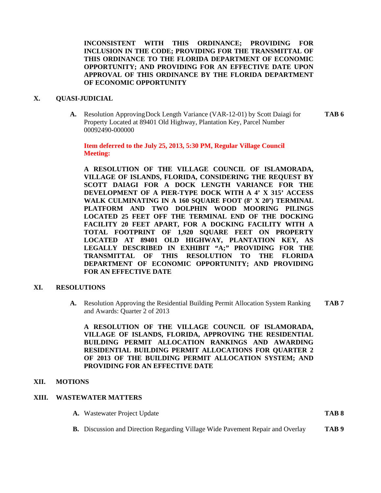**INCONSISTENT WITH THIS ORDINANCE; PROVIDING FOR INCLUSION IN THE CODE; PROVIDING FOR THE TRANSMITTAL OF THIS ORDINANCE TO THE FLORIDA DEPARTMENT OF ECONOMIC OPPORTUNITY; AND PROVIDING FOR AN EFFECTIVE DATE UPON APPROVAL OF THIS ORDINANCE BY THE FLORIDA DEPARTMENT OF ECONOMIC OPPORTUNITY** 

#### **X. QUASI-JUDICIAL**

**A.** Resolution Approving Dock Length Variance (VAR-12-01) by Scott Daiagi for **TAB 6**  Property Located at 89401 Old Highway, Plantation Key, Parcel Number 00092490-000000

**Item deferred to the July 25, 2013, 5:30 PM, Regular Village Council Meeting:** 

**A RESOLUTION OF THE VILLAGE COUNCIL OF ISLAMORADA, VILLAGE OF ISLANDS, FLORIDA, CONSIDERING THE REQUEST BY SCOTT DAIAGI FOR A DOCK LENGTH VARIANCE FOR THE DEVELOPMENT OF A PIER-TYPE DOCK WITH A 4' X 315' ACCESS WALK CULMINATING IN A 160 SQUARE FOOT (8' X 20') TERMINAL PLATFORM AND TWO DOLPHIN WOOD MOORING PILINGS LOCATED 25 FEET OFF THE TERMINAL END OF THE DOCKING FACILITY 20 FEET APART, FOR A DOCKING FACILITY WITH A TOTAL FOOTPRINT OF 1,920 SQUARE FEET ON PROPERTY LOCATED AT 89401 OLD HIGHWAY, PLANTATION KEY, AS LEGALLY DESCRIBED IN EXHIBIT "A;" PROVIDING FOR THE TRANSMITTAL OF THIS RESOLUTION TO THE FLORIDA DEPARTMENT OF ECONOMIC OPPORTUNITY; AND PROVIDING FOR AN EFFECTIVE DATE** 

#### **XI. RESOLUTIONS**

**A.** Resolution Approving the Residential Building Permit Allocation System Ranking **TAB 7**  and Awards: Quarter 2 of 2013

**A RESOLUTION OF THE VILLAGE COUNCIL OF ISLAMORADA, VILLAGE OF ISLANDS, FLORIDA, APPROVING THE RESIDENTIAL BUILDING PERMIT ALLOCATION RANKINGS AND AWARDING RESIDENTIAL BUILDING PERMIT ALLOCATIONS FOR QUARTER 2 OF 2013 OF THE BUILDING PERMIT ALLOCATION SYSTEM; AND PROVIDING FOR AN EFFECTIVE DATE** 

#### **XII. MOTIONS**

#### **XIII. WASTEWATER MATTERS**

- **A.** Wastewater Project Update **TAB 8**
	- **B.** Discussion and Direction Regarding Village Wide Pavement Repair and Overlay **TAB 9**